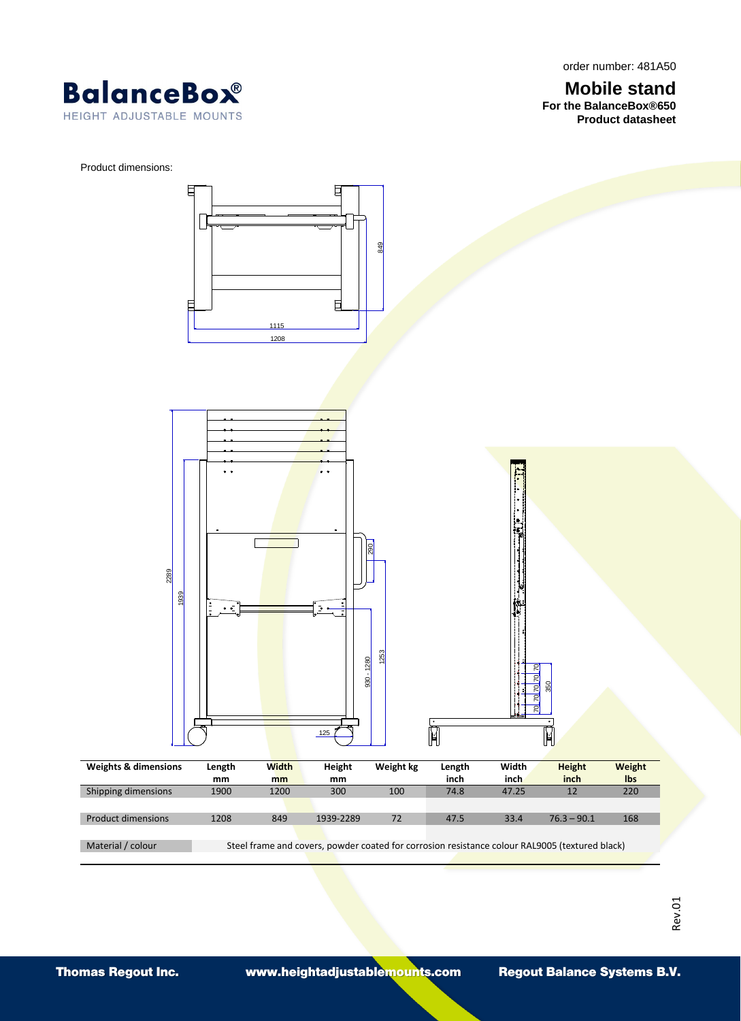order number: 481A50

**Mobile stand For the BalanceBox®650 Product datasheet**



Product dimensions:

E 849 巨 F 1115 1208  $\ddot{\phantom{a}}$ <u>ଅ</u><br>ଜା 22891939  $\ddot{\phantom{a}}$ ۰. 1253 930 - 1280 <u>ମ</u> । ସ । 350 <u>ମ</u> ଅ <u>ମ</u> । <u>ମ ।</u>  $\mathbb N$  $\mathbb N$ 125 **Weights & dimensions Length Width Height Weight kg Length Width Height Weight mm mm mm inch**<br>74.8 **inch inch lbs** Shipping dimensions 1900 1200 300 100 Product dimensions 1208 849 1939-2289 72 47.5 33.4 76.3 – 90.1 168 Material / colour Steel frame and covers, powder coated for corrosion resistance colour RAL9005 (textured black)